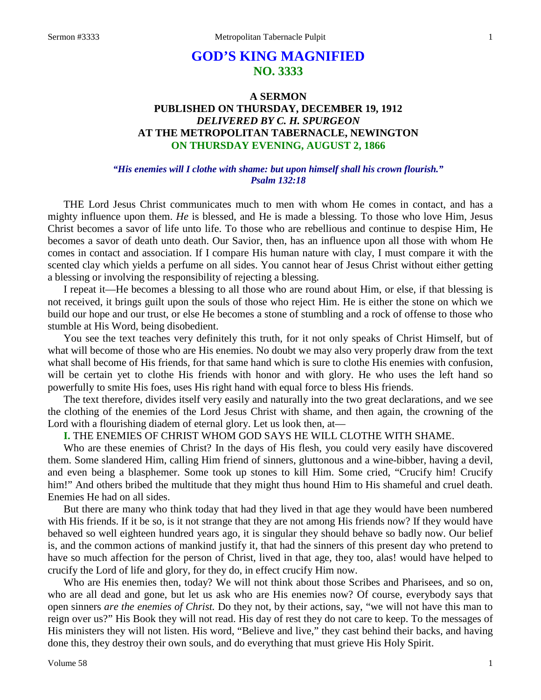# **GOD'S KING MAGNIFIED NO. 3333**

## **A SERMON PUBLISHED ON THURSDAY, DECEMBER 19, 1912** *DELIVERED BY C. H. SPURGEON* **AT THE METROPOLITAN TABERNACLE, NEWINGTON ON THURSDAY EVENING, AUGUST 2, 1866**

## *"His enemies will I clothe with shame: but upon himself shall his crown flourish." Psalm 132:18*

THE Lord Jesus Christ communicates much to men with whom He comes in contact, and has a mighty influence upon them. *He* is blessed, and He is made a blessing. To those who love Him, Jesus Christ becomes a savor of life unto life. To those who are rebellious and continue to despise Him, He becomes a savor of death unto death. Our Savior, then, has an influence upon all those with whom He comes in contact and association. If I compare His human nature with clay, I must compare it with the scented clay which yields a perfume on all sides. You cannot hear of Jesus Christ without either getting a blessing or involving the responsibility of rejecting a blessing.

I repeat it—He becomes a blessing to all those who are round about Him, or else, if that blessing is not received, it brings guilt upon the souls of those who reject Him. He is either the stone on which we build our hope and our trust, or else He becomes a stone of stumbling and a rock of offense to those who stumble at His Word, being disobedient.

You see the text teaches very definitely this truth, for it not only speaks of Christ Himself, but of what will become of those who are His enemies. No doubt we may also very properly draw from the text what shall become of His friends, for that same hand which is sure to clothe His enemies with confusion, will be certain yet to clothe His friends with honor and with glory. He who uses the left hand so powerfully to smite His foes, uses His right hand with equal force to bless His friends.

The text therefore, divides itself very easily and naturally into the two great declarations, and we see the clothing of the enemies of the Lord Jesus Christ with shame, and then again, the crowning of the Lord with a flourishing diadem of eternal glory. Let us look then, at—

## **I.** THE ENEMIES OF CHRIST WHOM GOD SAYS HE WILL CLOTHE WITH SHAME.

Who are these enemies of Christ? In the days of His flesh, you could very easily have discovered them. Some slandered Him, calling Him friend of sinners, gluttonous and a wine-bibber, having a devil, and even being a blasphemer. Some took up stones to kill Him. Some cried, "Crucify him! Crucify him!" And others bribed the multitude that they might thus hound Him to His shameful and cruel death. Enemies He had on all sides.

But there are many who think today that had they lived in that age they would have been numbered with His friends. If it be so, is it not strange that they are not among His friends now? If they would have behaved so well eighteen hundred years ago, it is singular they should behave so badly now. Our belief is, and the common actions of mankind justify it, that had the sinners of this present day who pretend to have so much affection for the person of Christ, lived in that age, they too, alas! would have helped to crucify the Lord of life and glory, for they do, in effect crucify Him now.

Who are His enemies then, today? We will not think about those Scribes and Pharisees, and so on, who are all dead and gone, but let us ask who are His enemies now? Of course, everybody says that open sinners *are the enemies of Christ.* Do they not, by their actions, say, "we will not have this man to reign over us?" His Book they will not read. His day of rest they do not care to keep. To the messages of His ministers they will not listen. His word, "Believe and live," they cast behind their backs, and having done this, they destroy their own souls, and do everything that must grieve His Holy Spirit.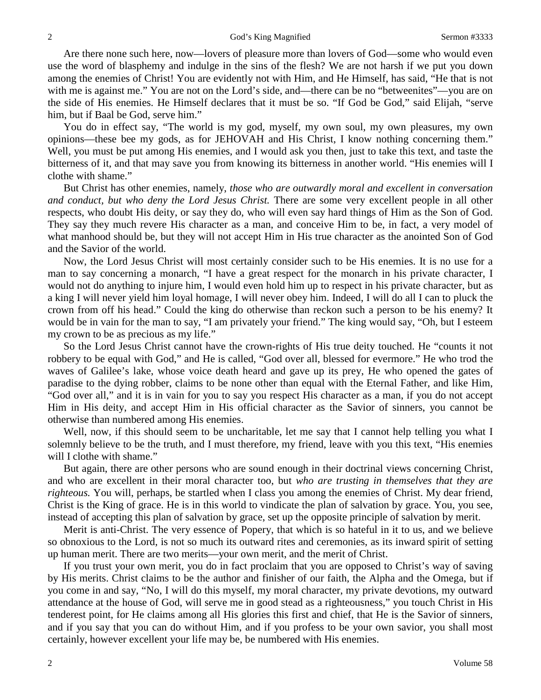Are there none such here, now—lovers of pleasure more than lovers of God—some who would even use the word of blasphemy and indulge in the sins of the flesh? We are not harsh if we put you down among the enemies of Christ! You are evidently not with Him, and He Himself, has said, "He that is not with me is against me." You are not on the Lord's side, and—there can be no "betweenites"—you are on the side of His enemies. He Himself declares that it must be so. "If God be God," said Elijah, "serve him, but if Baal be God, serve him."

You do in effect say, "The world is my god, myself, my own soul, my own pleasures, my own opinions—these bee my gods, as for JEHOVAH and His Christ, I know nothing concerning them." Well, you must be put among His enemies, and I would ask you then, just to take this text, and taste the bitterness of it, and that may save you from knowing its bitterness in another world. "His enemies will I clothe with shame."

But Christ has other enemies, namely, *those who are outwardly moral and excellent in conversation and conduct, but who deny the Lord Jesus Christ.* There are some very excellent people in all other respects, who doubt His deity, or say they do, who will even say hard things of Him as the Son of God. They say they much revere His character as a man, and conceive Him to be, in fact, a very model of what manhood should be, but they will not accept Him in His true character as the anointed Son of God and the Savior of the world.

Now, the Lord Jesus Christ will most certainly consider such to be His enemies. It is no use for a man to say concerning a monarch, "I have a great respect for the monarch in his private character, I would not do anything to injure him, I would even hold him up to respect in his private character, but as a king I will never yield him loyal homage, I will never obey him. Indeed, I will do all I can to pluck the crown from off his head." Could the king do otherwise than reckon such a person to be his enemy? It would be in vain for the man to say, "I am privately your friend." The king would say, "Oh, but I esteem my crown to be as precious as my life."

So the Lord Jesus Christ cannot have the crown-rights of His true deity touched. He "counts it not robbery to be equal with God," and He is called, "God over all, blessed for evermore." He who trod the waves of Galilee's lake, whose voice death heard and gave up its prey, He who opened the gates of paradise to the dying robber, claims to be none other than equal with the Eternal Father, and like Him, "God over all," and it is in vain for you to say you respect His character as a man, if you do not accept Him in His deity, and accept Him in His official character as the Savior of sinners, you cannot be otherwise than numbered among His enemies.

Well, now, if this should seem to be uncharitable, let me say that I cannot help telling you what I solemnly believe to be the truth, and I must therefore, my friend, leave with you this text, "His enemies will I clothe with shame."

But again, there are other persons who are sound enough in their doctrinal views concerning Christ, and who are excellent in their moral character too, but *who are trusting in themselves that they are righteous.* You will, perhaps, be startled when I class you among the enemies of Christ. My dear friend, Christ is the King of grace. He is in this world to vindicate the plan of salvation by grace. You, you see, instead of accepting this plan of salvation by grace, set up the opposite principle of salvation by merit.

Merit is anti-Christ. The very essence of Popery, that which is so hateful in it to us, and we believe so obnoxious to the Lord, is not so much its outward rites and ceremonies, as its inward spirit of setting up human merit. There are two merits—your own merit, and the merit of Christ.

If you trust your own merit, you do in fact proclaim that you are opposed to Christ's way of saving by His merits. Christ claims to be the author and finisher of our faith, the Alpha and the Omega, but if you come in and say, "No, I will do this myself, my moral character, my private devotions, my outward attendance at the house of God, will serve me in good stead as a righteousness," you touch Christ in His tenderest point, for He claims among all His glories this first and chief, that He is the Savior of sinners, and if you say that you can do without Him, and if you profess to be your own savior, you shall most certainly, however excellent your life may be, be numbered with His enemies.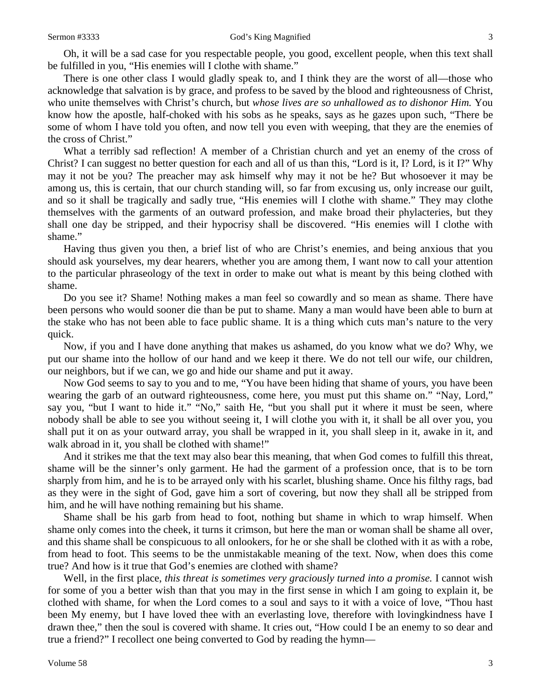Oh, it will be a sad case for you respectable people, you good, excellent people, when this text shall be fulfilled in you, "His enemies will I clothe with shame."

There is one other class I would gladly speak to, and I think they are the worst of all—those who acknowledge that salvation is by grace, and profess to be saved by the blood and righteousness of Christ, who unite themselves with Christ's church, but *whose lives are so unhallowed as to dishonor Him.* You know how the apostle, half-choked with his sobs as he speaks, says as he gazes upon such, "There be some of whom I have told you often, and now tell you even with weeping, that they are the enemies of the cross of Christ."

What a terribly sad reflection! A member of a Christian church and yet an enemy of the cross of Christ? I can suggest no better question for each and all of us than this, "Lord is it, I? Lord, is it I?" Why may it not be you? The preacher may ask himself why may it not be he? But whosoever it may be among us, this is certain, that our church standing will, so far from excusing us, only increase our guilt, and so it shall be tragically and sadly true, "His enemies will I clothe with shame." They may clothe themselves with the garments of an outward profession, and make broad their phylacteries, but they shall one day be stripped, and their hypocrisy shall be discovered. "His enemies will I clothe with shame."

Having thus given you then, a brief list of who are Christ's enemies, and being anxious that you should ask yourselves, my dear hearers, whether you are among them, I want now to call your attention to the particular phraseology of the text in order to make out what is meant by this being clothed with shame.

Do you see it? Shame! Nothing makes a man feel so cowardly and so mean as shame. There have been persons who would sooner die than be put to shame. Many a man would have been able to burn at the stake who has not been able to face public shame. It is a thing which cuts man's nature to the very quick.

Now, if you and I have done anything that makes us ashamed, do you know what we do? Why, we put our shame into the hollow of our hand and we keep it there. We do not tell our wife, our children, our neighbors, but if we can, we go and hide our shame and put it away.

Now God seems to say to you and to me, "You have been hiding that shame of yours, you have been wearing the garb of an outward righteousness, come here, you must put this shame on." "Nay, Lord," say you, "but I want to hide it." "No," saith He, "but you shall put it where it must be seen, where nobody shall be able to see you without seeing it, I will clothe you with it, it shall be all over you, you shall put it on as your outward array, you shall be wrapped in it, you shall sleep in it, awake in it, and walk abroad in it, you shall be clothed with shame!"

And it strikes me that the text may also bear this meaning, that when God comes to fulfill this threat, shame will be the sinner's only garment. He had the garment of a profession once, that is to be torn sharply from him, and he is to be arrayed only with his scarlet, blushing shame. Once his filthy rags, bad as they were in the sight of God, gave him a sort of covering, but now they shall all be stripped from him, and he will have nothing remaining but his shame.

Shame shall be his garb from head to foot, nothing but shame in which to wrap himself. When shame only comes into the cheek, it turns it crimson, but here the man or woman shall be shame all over, and this shame shall be conspicuous to all onlookers, for he or she shall be clothed with it as with a robe, from head to foot. This seems to be the unmistakable meaning of the text. Now, when does this come true? And how is it true that God's enemies are clothed with shame?

Well, in the first place, *this threat is sometimes very graciously turned into a promise*. I cannot wish for some of you a better wish than that you may in the first sense in which I am going to explain it, be clothed with shame, for when the Lord comes to a soul and says to it with a voice of love, "Thou hast been My enemy, but I have loved thee with an everlasting love, therefore with lovingkindness have I drawn thee," then the soul is covered with shame. It cries out, "How could I be an enemy to so dear and true a friend?" I recollect one being converted to God by reading the hymn—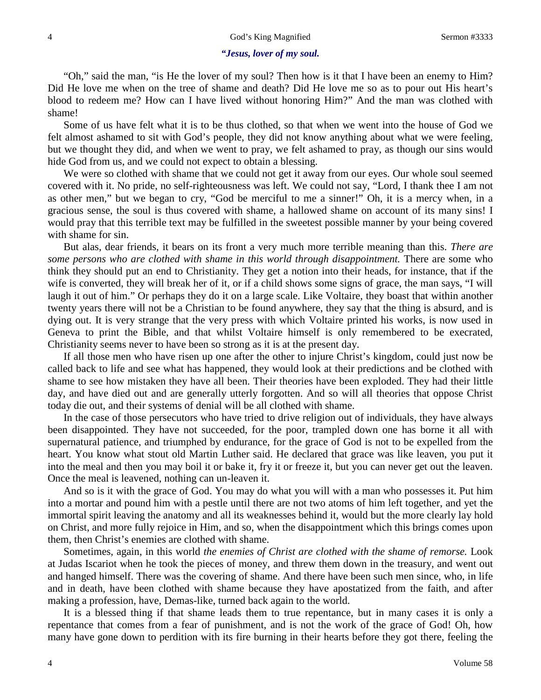## *"Jesus, lover of my soul.*

"Oh," said the man, "is He the lover of my soul? Then how is it that I have been an enemy to Him? Did He love me when on the tree of shame and death? Did He love me so as to pour out His heart's blood to redeem me? How can I have lived without honoring Him?" And the man was clothed with shame!

Some of us have felt what it is to be thus clothed, so that when we went into the house of God we felt almost ashamed to sit with God's people, they did not know anything about what we were feeling, but we thought they did, and when we went to pray, we felt ashamed to pray, as though our sins would hide God from us, and we could not expect to obtain a blessing.

We were so clothed with shame that we could not get it away from our eyes. Our whole soul seemed covered with it. No pride, no self-righteousness was left. We could not say, "Lord, I thank thee I am not as other men," but we began to cry, "God be merciful to me a sinner!" Oh, it is a mercy when, in a gracious sense, the soul is thus covered with shame, a hallowed shame on account of its many sins! I would pray that this terrible text may be fulfilled in the sweetest possible manner by your being covered with shame for sin.

But alas, dear friends, it bears on its front a very much more terrible meaning than this. *There are some persons who are clothed with shame in this world through disappointment.* There are some who think they should put an end to Christianity. They get a notion into their heads, for instance, that if the wife is converted, they will break her of it, or if a child shows some signs of grace, the man says, "I will laugh it out of him." Or perhaps they do it on a large scale. Like Voltaire, they boast that within another twenty years there will not be a Christian to be found anywhere, they say that the thing is absurd, and is dying out. It is very strange that the very press with which Voltaire printed his works, is now used in Geneva to print the Bible, and that whilst Voltaire himself is only remembered to be execrated, Christianity seems never to have been so strong as it is at the present day.

If all those men who have risen up one after the other to injure Christ's kingdom, could just now be called back to life and see what has happened, they would look at their predictions and be clothed with shame to see how mistaken they have all been. Their theories have been exploded. They had their little day, and have died out and are generally utterly forgotten. And so will all theories that oppose Christ today die out, and their systems of denial will be all clothed with shame.

In the case of those persecutors who have tried to drive religion out of individuals, they have always been disappointed. They have not succeeded, for the poor, trampled down one has borne it all with supernatural patience, and triumphed by endurance, for the grace of God is not to be expelled from the heart. You know what stout old Martin Luther said. He declared that grace was like leaven, you put it into the meal and then you may boil it or bake it, fry it or freeze it, but you can never get out the leaven. Once the meal is leavened, nothing can un-leaven it.

And so is it with the grace of God. You may do what you will with a man who possesses it. Put him into a mortar and pound him with a pestle until there are not two atoms of him left together, and yet the immortal spirit leaving the anatomy and all its weaknesses behind it, would but the more clearly lay hold on Christ, and more fully rejoice in Him, and so, when the disappointment which this brings comes upon them, then Christ's enemies are clothed with shame.

Sometimes, again, in this world *the enemies of Christ are clothed with the shame of remorse.* Look at Judas Iscariot when he took the pieces of money, and threw them down in the treasury, and went out and hanged himself. There was the covering of shame. And there have been such men since, who, in life and in death, have been clothed with shame because they have apostatized from the faith, and after making a profession, have, Demas-like, turned back again to the world.

It is a blessed thing if that shame leads them to true repentance, but in many cases it is only a repentance that comes from a fear of punishment, and is not the work of the grace of God! Oh, how many have gone down to perdition with its fire burning in their hearts before they got there, feeling the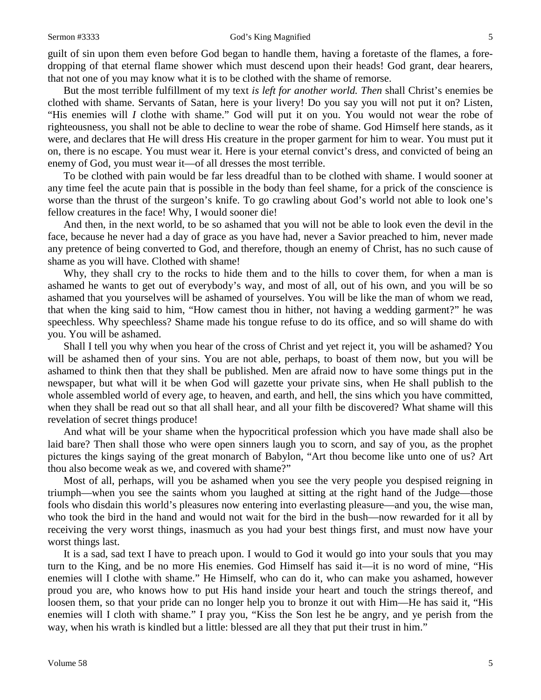### Sermon #3333 God's King Magnified 5

guilt of sin upon them even before God began to handle them, having a foretaste of the flames, a foredropping of that eternal flame shower which must descend upon their heads! God grant, dear hearers, that not one of you may know what it is to be clothed with the shame of remorse.

But the most terrible fulfillment of my text *is left for another world. Then* shall Christ's enemies be clothed with shame. Servants of Satan, here is your livery! Do you say you will not put it on? Listen, "His enemies will *I* clothe with shame." God will put it on you. You would not wear the robe of righteousness, you shall not be able to decline to wear the robe of shame. God Himself here stands, as it were, and declares that He will dress His creature in the proper garment for him to wear. You must put it on, there is no escape. You must wear it. Here is your eternal convict's dress, and convicted of being an enemy of God, you must wear it—of all dresses the most terrible.

To be clothed with pain would be far less dreadful than to be clothed with shame. I would sooner at any time feel the acute pain that is possible in the body than feel shame, for a prick of the conscience is worse than the thrust of the surgeon's knife. To go crawling about God's world not able to look one's fellow creatures in the face! Why, I would sooner die!

And then, in the next world, to be so ashamed that you will not be able to look even the devil in the face, because he never had a day of grace as you have had, never a Savior preached to him, never made any pretence of being converted to God, and therefore, though an enemy of Christ, has no such cause of shame as you will have. Clothed with shame!

Why, they shall cry to the rocks to hide them and to the hills to cover them, for when a man is ashamed he wants to get out of everybody's way, and most of all, out of his own, and you will be so ashamed that you yourselves will be ashamed of yourselves. You will be like the man of whom we read, that when the king said to him, "How camest thou in hither, not having a wedding garment?" he was speechless. Why speechless? Shame made his tongue refuse to do its office, and so will shame do with you. You will be ashamed.

Shall I tell you why when you hear of the cross of Christ and yet reject it, you will be ashamed? You will be ashamed then of your sins. You are not able, perhaps, to boast of them now, but you will be ashamed to think then that they shall be published. Men are afraid now to have some things put in the newspaper, but what will it be when God will gazette your private sins, when He shall publish to the whole assembled world of every age, to heaven, and earth, and hell, the sins which you have committed, when they shall be read out so that all shall hear, and all your filth be discovered? What shame will this revelation of secret things produce!

And what will be your shame when the hypocritical profession which you have made shall also be laid bare? Then shall those who were open sinners laugh you to scorn, and say of you, as the prophet pictures the kings saying of the great monarch of Babylon, "Art thou become like unto one of us? Art thou also become weak as we, and covered with shame?"

Most of all, perhaps, will you be ashamed when you see the very people you despised reigning in triumph—when you see the saints whom you laughed at sitting at the right hand of the Judge—those fools who disdain this world's pleasures now entering into everlasting pleasure—and you, the wise man, who took the bird in the hand and would not wait for the bird in the bush—now rewarded for it all by receiving the very worst things, inasmuch as you had your best things first, and must now have your worst things last.

It is a sad, sad text I have to preach upon. I would to God it would go into your souls that you may turn to the King, and be no more His enemies. God Himself has said it—it is no word of mine, "His enemies will I clothe with shame." He Himself, who can do it, who can make you ashamed, however proud you are, who knows how to put His hand inside your heart and touch the strings thereof, and loosen them, so that your pride can no longer help you to bronze it out with Him—He has said it, "His enemies will I cloth with shame." I pray you, "Kiss the Son lest he be angry, and ye perish from the way, when his wrath is kindled but a little: blessed are all they that put their trust in him."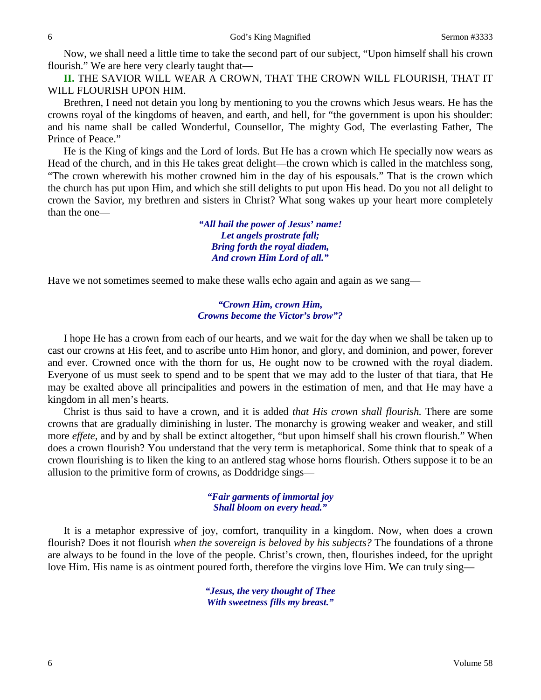Now, we shall need a little time to take the second part of our subject, "Upon himself shall his crown flourish." We are here very clearly taught that—

**II.** THE SAVIOR WILL WEAR A CROWN, THAT THE CROWN WILL FLOURISH, THAT IT WILL FLOURISH UPON HIM.

Brethren, I need not detain you long by mentioning to you the crowns which Jesus wears. He has the crowns royal of the kingdoms of heaven, and earth, and hell, for "the government is upon his shoulder: and his name shall be called Wonderful, Counsellor, The mighty God, The everlasting Father, The Prince of Peace."

He is the King of kings and the Lord of lords. But He has a crown which He specially now wears as Head of the church, and in this He takes great delight—the crown which is called in the matchless song, "The crown wherewith his mother crowned him in the day of his espousals." That is the crown which the church has put upon Him, and which she still delights to put upon His head. Do you not all delight to crown the Savior, my brethren and sisters in Christ? What song wakes up your heart more completely than the one—

> *"All hail the power of Jesus' name! Let angels prostrate fall; Bring forth the royal diadem, And crown Him Lord of all."*

Have we not sometimes seemed to make these walls echo again and again as we sang—

## *"Crown Him, crown Him, Crowns become the Victor's brow"?*

I hope He has a crown from each of our hearts, and we wait for the day when we shall be taken up to cast our crowns at His feet, and to ascribe unto Him honor, and glory, and dominion, and power, forever and ever. Crowned once with the thorn for us, He ought now to be crowned with the royal diadem. Everyone of us must seek to spend and to be spent that we may add to the luster of that tiara, that He may be exalted above all principalities and powers in the estimation of men, and that He may have a kingdom in all men's hearts.

Christ is thus said to have a crown, and it is added *that His crown shall flourish.* There are some crowns that are gradually diminishing in luster. The monarchy is growing weaker and weaker, and still more *effete,* and by and by shall be extinct altogether, "but upon himself shall his crown flourish." When does a crown flourish? You understand that the very term is metaphorical. Some think that to speak of a crown flourishing is to liken the king to an antlered stag whose horns flourish. Others suppose it to be an allusion to the primitive form of crowns, as Doddridge sings—

## *"Fair garments of immortal joy Shall bloom on every head."*

It is a metaphor expressive of joy, comfort, tranquility in a kingdom. Now, when does a crown flourish? Does it not flourish *when the sovereign is beloved by his subjects?* The foundations of a throne are always to be found in the love of the people. Christ's crown, then, flourishes indeed, for the upright love Him. His name is as ointment poured forth, therefore the virgins love Him. We can truly sing—

> *"Jesus, the very thought of Thee With sweetness fills my breast."*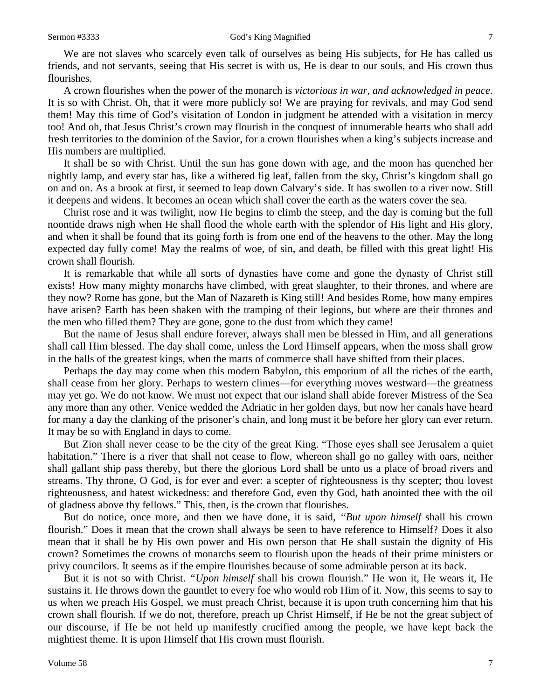We are not slaves who scarcely even talk of ourselves as being His subjects, for He has called us friends, and not servants, seeing that His secret is with us, He is dear to our souls, and His crown thus flourishes.

A crown flourishes when the power of the monarch is *victorious in war, and acknowledged in peace.*  It is so with Christ. Oh, that it were more publicly so! We are praying for revivals, and may God send them! May this time of God's visitation of London in judgment be attended with a visitation in mercy too! And oh, that Jesus Christ's crown may flourish in the conquest of innumerable hearts who shall add fresh territories to the dominion of the Savior, for a crown flourishes when a king's subjects increase and His numbers are multiplied.

It shall be so with Christ. Until the sun has gone down with age, and the moon has quenched her nightly lamp, and every star has, like a withered fig leaf, fallen from the sky, Christ's kingdom shall go on and on. As a brook at first, it seemed to leap down Calvary's side. It has swollen to a river now. Still it deepens and widens. It becomes an ocean which shall cover the earth as the waters cover the sea.

Christ rose and it was twilight, now He begins to climb the steep, and the day is coming but the full noontide draws nigh when He shall flood the whole earth with the splendor of His light and His glory, and when it shall be found that its going forth is from one end of the heavens to the other. May the long expected day fully come! May the realms of woe, of sin, and death, be filled with this great light! His crown shall flourish.

It is remarkable that while all sorts of dynasties have come and gone the dynasty of Christ still exists! How many mighty monarchs have climbed, with great slaughter, to their thrones, and where are they now? Rome has gone, but the Man of Nazareth is King still! And besides Rome, how many empires have arisen? Earth has been shaken with the tramping of their legions, but where are their thrones and the men who filled them? They are gone, gone to the dust from which they came!

But the name of Jesus shall endure forever, always shall men be blessed in Him, and all generations shall call Him blessed. The day shall come, unless the Lord Himself appears, when the moss shall grow in the halls of the greatest kings, when the marts of commerce shall have shifted from their places.

Perhaps the day may come when this modern Babylon, this emporium of all the riches of the earth, shall cease from her glory. Perhaps to western climes—for everything moves westward—the greatness may yet go. We do not know. We must not expect that our island shall abide forever Mistress of the Sea any more than any other. Venice wedded the Adriatic in her golden days, but now her canals have heard for many a day the clanking of the prisoner's chain, and long must it be before her glory can ever return. It may be so with England in days to come.

But Zion shall never cease to be the city of the great King. "Those eyes shall see Jerusalem a quiet habitation." There is a river that shall not cease to flow, whereon shall go no galley with oars, neither shall gallant ship pass thereby, but there the glorious Lord shall be unto us a place of broad rivers and streams. Thy throne, O God, is for ever and ever: a scepter of righteousness is thy scepter; thou lovest righteousness, and hatest wickedness: and therefore God, even thy God, hath anointed thee with the oil of gladness above thy fellows." This, then, is the crown that flourishes.

But do notice, once more, and then we have done, it is said, *"But upon himself* shall his crown flourish." Does it mean that the crown shall always be seen to have reference to Himself? Does it also mean that it shall be by His own power and His own person that He shall sustain the dignity of His crown? Sometimes the crowns of monarchs seem to flourish upon the heads of their prime ministers or privy councilors. It seems as if the empire flourishes because of some admirable person at its back.

But it is not so with Christ. *"Upon himself* shall his crown flourish." He won it, He wears it, He sustains it. He throws down the gauntlet to every foe who would rob Him of it. Now, this seems to say to us when we preach His Gospel, we must preach Christ, because it is upon truth concerning him that his crown shall flourish. If we do not, therefore, preach up Christ Himself, if He be not the great subject of our discourse, if He be not held up manifestly crucified among the people, we have kept back the mightiest theme. It is upon Himself that His crown must flourish.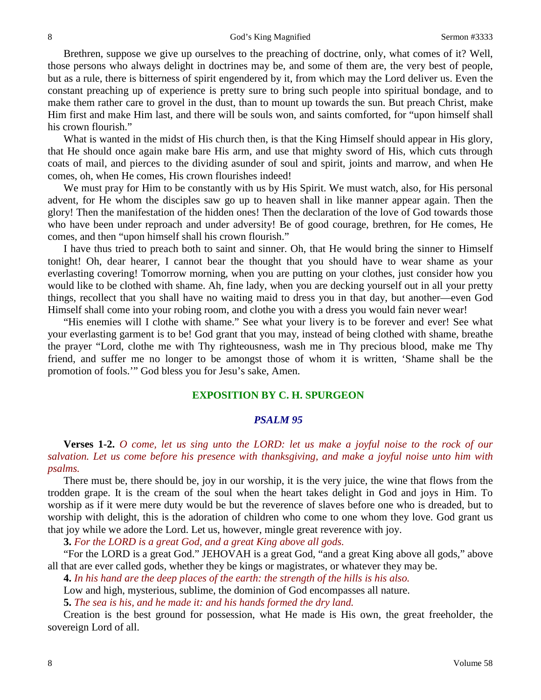Brethren, suppose we give up ourselves to the preaching of doctrine, only, what comes of it? Well, those persons who always delight in doctrines may be, and some of them are, the very best of people, but as a rule, there is bitterness of spirit engendered by it, from which may the Lord deliver us. Even the constant preaching up of experience is pretty sure to bring such people into spiritual bondage, and to make them rather care to grovel in the dust, than to mount up towards the sun. But preach Christ, make Him first and make Him last, and there will be souls won, and saints comforted, for "upon himself shall his crown flourish."

What is wanted in the midst of His church then, is that the King Himself should appear in His glory, that He should once again make bare His arm, and use that mighty sword of His, which cuts through coats of mail, and pierces to the dividing asunder of soul and spirit, joints and marrow, and when He comes, oh, when He comes, His crown flourishes indeed!

We must pray for Him to be constantly with us by His Spirit. We must watch, also, for His personal advent, for He whom the disciples saw go up to heaven shall in like manner appear again. Then the glory! Then the manifestation of the hidden ones! Then the declaration of the love of God towards those who have been under reproach and under adversity! Be of good courage, brethren, for He comes, He comes, and then "upon himself shall his crown flourish."

I have thus tried to preach both to saint and sinner. Oh, that He would bring the sinner to Himself tonight! Oh, dear hearer, I cannot bear the thought that you should have to wear shame as your everlasting covering! Tomorrow morning, when you are putting on your clothes, just consider how you would like to be clothed with shame. Ah, fine lady, when you are decking yourself out in all your pretty things, recollect that you shall have no waiting maid to dress you in that day, but another—even God Himself shall come into your robing room, and clothe you with a dress you would fain never wear!

"His enemies will I clothe with shame." See what your livery is to be forever and ever! See what your everlasting garment is to be! God grant that you may, instead of being clothed with shame, breathe the prayer "Lord, clothe me with Thy righteousness, wash me in Thy precious blood, make me Thy friend, and suffer me no longer to be amongst those of whom it is written, 'Shame shall be the promotion of fools.'" God bless you for Jesu's sake, Amen.

## **EXPOSITION BY C. H. SPURGEON**

## *PSALM 95*

**Verses 1-2.** *O come, let us sing unto the LORD: let us make a joyful noise to the rock of our salvation. Let us come before his presence with thanksgiving, and make a joyful noise unto him with psalms.*

There must be, there should be, joy in our worship, it is the very juice, the wine that flows from the trodden grape. It is the cream of the soul when the heart takes delight in God and joys in Him. To worship as if it were mere duty would be but the reverence of slaves before one who is dreaded, but to worship with delight, this is the adoration of children who come to one whom they love. God grant us that joy while we adore the Lord. Let us, however, mingle great reverence with joy.

**3.** *For the LORD is a great God, and a great King above all gods.*

"For the LORD is a great God." JEHOVAH is a great God, "and a great King above all gods," above all that are ever called gods, whether they be kings or magistrates, or whatever they may be.

**4.** *In his hand are the deep places of the earth: the strength of the hills is his also.*

Low and high, mysterious, sublime, the dominion of God encompasses all nature.

**5.** *The sea is his, and he made it: and his hands formed the dry land.*

Creation is the best ground for possession, what He made is His own, the great freeholder, the sovereign Lord of all.